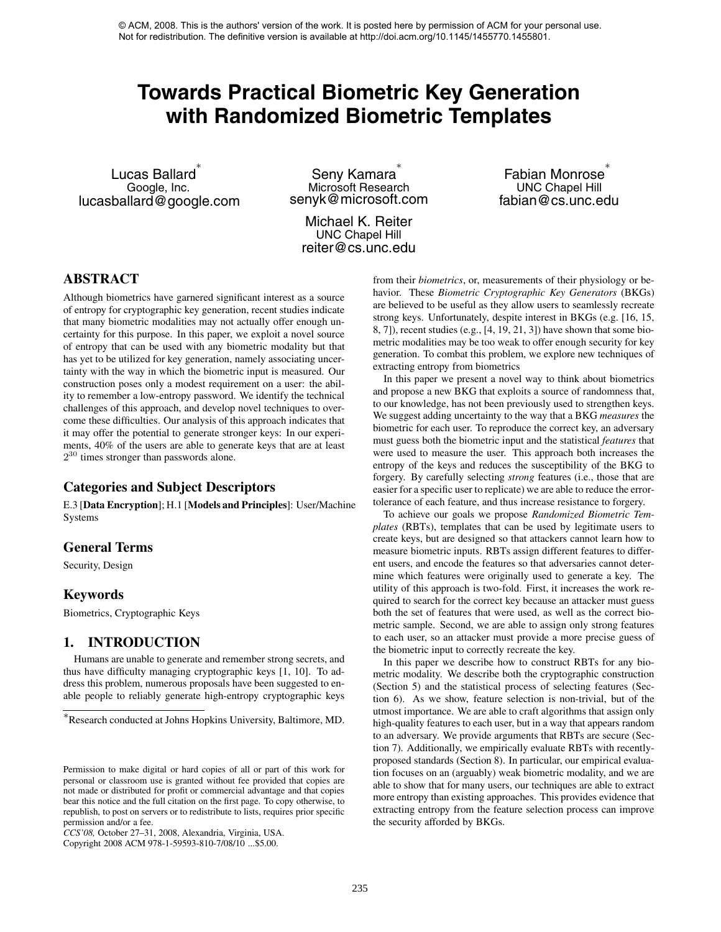# **Towards Practical Biometric Key Generation with Randomized Biometric Templates**

Lucas Ballard<sup>®</sup> Google, Inc. lucasballard@google.com

Seny Kamara Microsoft Research senyk@microsoft.com

Fabian Monrose UNC Chapel Hill fabian@cs.unc.edu

Michael K. Reiter UNC Chapel Hill reiter@cs.unc.edu

# **ABSTRACT**

Although biometrics have garnered significant interest as a source of entropy for cryptographic key generation, recent studies indicate that many biometric modalities may not actually offer enough uncertainty for this purpose. In this paper, we exploit a novel source of entropy that can be used with any biometric modality but that has yet to be utilized for key generation, namely associating uncertainty with the way in which the biometric input is measured. Our construction poses only a modest requirement on a user: the ability to remember a low-entropy password. We identify the technical challenges of this approach, and develop novel techniques to overcome these difficulties. Our analysis of this approach indicates that it may offer the potential to generate stronger keys: In our experiments, 40% of the users are able to generate keys that are at least  $2^{30}$  times stronger than passwords alone.

# **Categories and Subject Descriptors**

E.3 [**Data Encryption**]; H.1 [**Models and Principles**]: User/Machine Systems

# **General Terms**

Security, Design

# **Keywords**

Biometrics, Cryptographic Keys

# **1. INTRODUCTION**

Humans are unable to generate and remember strong secrets, and thus have difficulty managing cryptographic keys [1, 10]. To address this problem, numerous proposals have been suggested to enable people to reliably generate high-entropy cryptographic keys

Copyright 2008 ACM 978-1-59593-810-7/08/10 ...\$5.00.

from their *biometrics*, or, measurements of their physiology or behavior. These *Biometric Cryptographic Key Generators* (BKGs) are believed to be useful as they allow users to seamlessly recreate strong keys. Unfortunately, despite interest in BKGs (e.g. [16, 15, 8, 7]), recent studies (e.g., [4, 19, 21, 3]) have shown that some biometric modalities may be too weak to offer enough security for key generation. To combat this problem, we explore new techniques of extracting entropy from biometrics

In this paper we present a novel way to think about biometrics and propose a new BKG that exploits a source of randomness that, to our knowledge, has not been previously used to strengthen keys. We suggest adding uncertainty to the way that a BKG *measures* the biometric for each user. To reproduce the correct key, an adversary must guess both the biometric input and the statistical *features* that were used to measure the user. This approach both increases the entropy of the keys and reduces the susceptibility of the BKG to forgery. By carefully selecting *strong* features (i.e., those that are easier for a specific user to replicate) we are able to reduce the errortolerance of each feature, and thus increase resistance to forgery.

To achieve our goals we propose *Randomized Biometric Templates* (RBTs), templates that can be used by legitimate users to create keys, but are designed so that attackers cannot learn how to measure biometric inputs. RBTs assign different features to different users, and encode the features so that adversaries cannot determine which features were originally used to generate a key. The utility of this approach is two-fold. First, it increases the work required to search for the correct key because an attacker must guess both the set of features that were used, as well as the correct biometric sample. Second, we are able to assign only strong features to each user, so an attacker must provide a more precise guess of the biometric input to correctly recreate the key.

In this paper we describe how to construct RBTs for any biometric modality. We describe both the cryptographic construction (Section 5) and the statistical process of selecting features (Section 6). As we show, feature selection is non-trivial, but of the utmost importance. We are able to craft algorithms that assign only high-quality features to each user, but in a way that appears random to an adversary. We provide arguments that RBTs are secure (Section 7). Additionally, we empirically evaluate RBTs with recentlyproposed standards (Section 8). In particular, our empirical evaluation focuses on an (arguably) weak biometric modality, and we are able to show that for many users, our techniques are able to extract more entropy than existing approaches. This provides evidence that extracting entropy from the feature selection process can improve the security afforded by BKGs.

<sup>∗</sup>Research conducted at Johns Hopkins University, Baltimore, MD.

Permission to make digital or hard copies of all or part of this work for personal or classroom use is granted without fee provided that copies are not made or distributed for profit or commercial advantage and that copies bear this notice and the full citation on the first page. To copy otherwise, to republish, to post on servers or to redistribute to lists, requires prior specific permission and/or a fee.

*CCS'08,* October 27–31, 2008, Alexandria, Virginia, USA.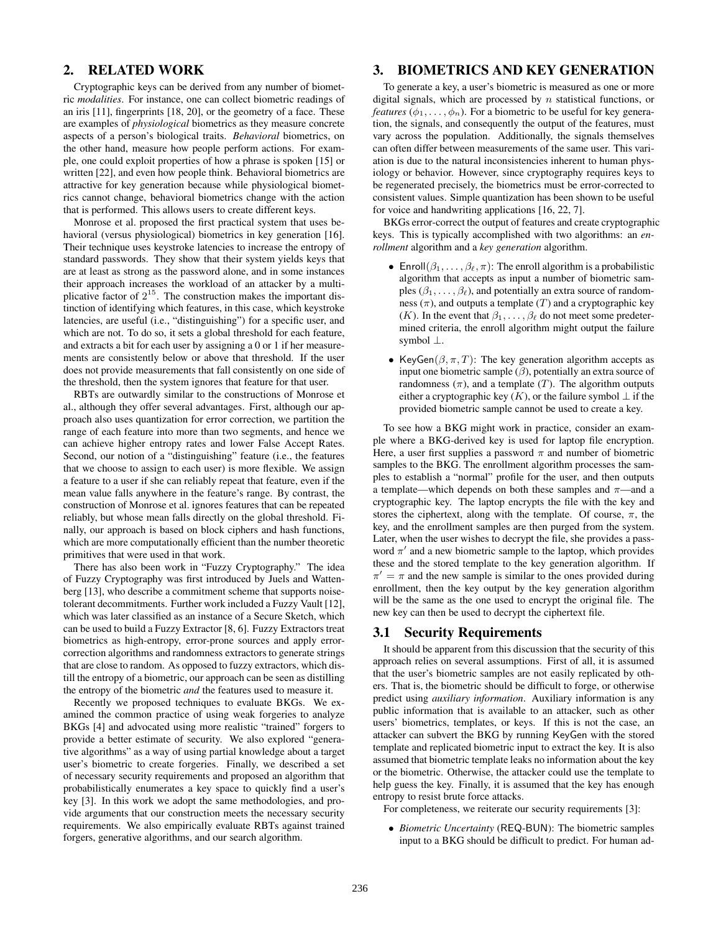# **2. RELATED WORK**

Cryptographic keys can be derived from any number of biometric *modalities*. For instance, one can collect biometric readings of an iris [11], fingerprints [18, 20], or the geometry of a face. These are examples of *physiological* biometrics as they measure concrete aspects of a person's biological traits. *Behavioral* biometrics, on the other hand, measure how people perform actions. For example, one could exploit properties of how a phrase is spoken [15] or written [22], and even how people think. Behavioral biometrics are attractive for key generation because while physiological biometrics cannot change, behavioral biometrics change with the action that is performed. This allows users to create different keys.

Monrose et al. proposed the first practical system that uses behavioral (versus physiological) biometrics in key generation [16]. Their technique uses keystroke latencies to increase the entropy of standard passwords. They show that their system yields keys that are at least as strong as the password alone, and in some instances their approach increases the workload of an attacker by a multiplicative factor of  $2^{15}$ . The construction makes the important distinction of identifying which features, in this case, which keystroke latencies, are useful (i.e., "distinguishing") for a specific user, and which are not. To do so, it sets a global threshold for each feature, and extracts a bit for each user by assigning a 0 or 1 if her measurements are consistently below or above that threshold. If the user does not provide measurements that fall consistently on one side of the threshold, then the system ignores that feature for that user.

RBTs are outwardly similar to the constructions of Monrose et al., although they offer several advantages. First, although our approach also uses quantization for error correction, we partition the range of each feature into more than two segments, and hence we can achieve higher entropy rates and lower False Accept Rates. Second, our notion of a "distinguishing" feature (i.e., the features that we choose to assign to each user) is more flexible. We assign a feature to a user if she can reliably repeat that feature, even if the mean value falls anywhere in the feature's range. By contrast, the construction of Monrose et al. ignores features that can be repeated reliably, but whose mean falls directly on the global threshold. Finally, our approach is based on block ciphers and hash functions, which are more computationally efficient than the number theoretic primitives that were used in that work.

There has also been work in "Fuzzy Cryptography." The idea of Fuzzy Cryptography was first introduced by Juels and Wattenberg [13], who describe a commitment scheme that supports noisetolerant decommitments. Further work included a Fuzzy Vault [12], which was later classified as an instance of a Secure Sketch, which can be used to build a Fuzzy Extractor [8, 6]. Fuzzy Extractors treat biometrics as high-entropy, error-prone sources and apply errorcorrection algorithms and randomness extractors to generate strings that are close to random. As opposed to fuzzy extractors, which distill the entropy of a biometric, our approach can be seen as distilling the entropy of the biometric *and* the features used to measure it.

Recently we proposed techniques to evaluate BKGs. We examined the common practice of using weak forgeries to analyze BKGs [4] and advocated using more realistic "trained" forgers to provide a better estimate of security. We also explored "generative algorithms" as a way of using partial knowledge about a target user's biometric to create forgeries. Finally, we described a set of necessary security requirements and proposed an algorithm that probabilistically enumerates a key space to quickly find a user's key [3]. In this work we adopt the same methodologies, and provide arguments that our construction meets the necessary security requirements. We also empirically evaluate RBTs against trained forgers, generative algorithms, and our search algorithm.

# **3. BIOMETRICS AND KEY GENERATION**

To generate a key, a user's biometric is measured as one or more digital signals, which are processed by  $n$  statistical functions, or *features*  $(\phi_1, \ldots, \phi_n)$ . For a biometric to be useful for key generation, the signals, and consequently the output of the features, must vary across the population. Additionally, the signals themselves can often differ between measurements of the same user. This variation is due to the natural inconsistencies inherent to human physiology or behavior. However, since cryptography requires keys to be regenerated precisely, the biometrics must be error-corrected to consistent values. Simple quantization has been shown to be useful for voice and handwriting applications [16, 22, 7].

BKGs error-correct the output of features and create cryptographic keys. This is typically accomplished with two algorithms: an *enrollment* algorithm and a *key generation* algorithm.

- Enroll $(\beta_1, \ldots, \beta_\ell, \pi)$ : The enroll algorithm is a probabilistic algorithm that accepts as input a number of biometric samples  $(\beta_1, \ldots, \beta_\ell)$ , and potentially an extra source of randomness  $(\pi)$ , and outputs a template  $(T)$  and a cryptographic key (K). In the event that  $\beta_1, \ldots, \beta_\ell$  do not meet some predetermined criteria, the enroll algorithm might output the failure symbol ⊥.
- KeyGen( $\beta$ ,  $\pi$ , T): The key generation algorithm accepts as input one biometric sample  $(\beta)$ , potentially an extra source of randomness  $(\pi)$ , and a template  $(T)$ . The algorithm outputs either a cryptographic key  $(K)$ , or the failure symbol  $\perp$  if the provided biometric sample cannot be used to create a key.

To see how a BKG might work in practice, consider an example where a BKG-derived key is used for laptop file encryption. Here, a user first supplies a password  $\pi$  and number of biometric samples to the BKG. The enrollment algorithm processes the samples to establish a "normal" profile for the user, and then outputs a template—which depends on both these samples and  $\pi$ —and a cryptographic key. The laptop encrypts the file with the key and stores the ciphertext, along with the template. Of course,  $\pi$ , the key, and the enrollment samples are then purged from the system. Later, when the user wishes to decrypt the file, she provides a password  $\pi'$  and a new biometric sample to the laptop, which provides these and the stored template to the key generation algorithm. If  $\pi' = \pi$  and the new sample is similar to the ones provided during enrollment, then the key output by the key generation algorithm will be the same as the one used to encrypt the original file. The new key can then be used to decrypt the ciphertext file.

### **3.1 Security Requirements**

It should be apparent from this discussion that the security of this approach relies on several assumptions. First of all, it is assumed that the user's biometric samples are not easily replicated by others. That is, the biometric should be difficult to forge, or otherwise predict using *auxiliary information*. Auxiliary information is any public information that is available to an attacker, such as other users' biometrics, templates, or keys. If this is not the case, an attacker can subvert the BKG by running KeyGen with the stored template and replicated biometric input to extract the key. It is also assumed that biometric template leaks no information about the key or the biometric. Otherwise, the attacker could use the template to help guess the key. Finally, it is assumed that the key has enough entropy to resist brute force attacks.

For completeness, we reiterate our security requirements [3]:

• *Biometric Uncertainty* (REQ-BUN): The biometric samples input to a BKG should be difficult to predict. For human ad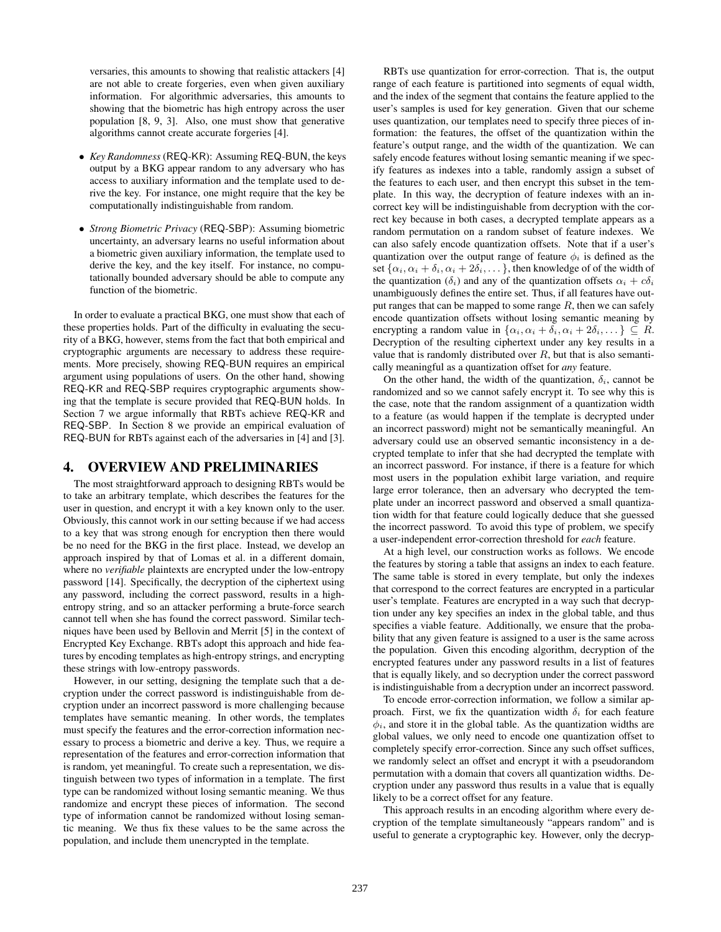versaries, this amounts to showing that realistic attackers [4] are not able to create forgeries, even when given auxiliary information. For algorithmic adversaries, this amounts to showing that the biometric has high entropy across the user population [8, 9, 3]. Also, one must show that generative algorithms cannot create accurate forgeries [4].

- *Key Randomness* (REQ-KR): Assuming REQ-BUN, the keys output by a BKG appear random to any adversary who has access to auxiliary information and the template used to derive the key. For instance, one might require that the key be computationally indistinguishable from random.
- *Strong Biometric Privacy* (REQ-SBP): Assuming biometric uncertainty, an adversary learns no useful information about a biometric given auxiliary information, the template used to derive the key, and the key itself. For instance, no computationally bounded adversary should be able to compute any function of the biometric.

In order to evaluate a practical BKG, one must show that each of these properties holds. Part of the difficulty in evaluating the security of a BKG, however, stems from the fact that both empirical and cryptographic arguments are necessary to address these requirements. More precisely, showing REQ-BUN requires an empirical argument using populations of users. On the other hand, showing REQ-KR and REQ-SBP requires cryptographic arguments showing that the template is secure provided that REQ-BUN holds. In Section 7 we argue informally that RBTs achieve REQ-KR and REQ-SBP. In Section 8 we provide an empirical evaluation of REQ-BUN for RBTs against each of the adversaries in [4] and [3].

### **4. OVERVIEW AND PRELIMINARIES**

The most straightforward approach to designing RBTs would be to take an arbitrary template, which describes the features for the user in question, and encrypt it with a key known only to the user. Obviously, this cannot work in our setting because if we had access to a key that was strong enough for encryption then there would be no need for the BKG in the first place. Instead, we develop an approach inspired by that of Lomas et al. in a different domain, where no *verifiable* plaintexts are encrypted under the low-entropy password [14]. Specifically, the decryption of the ciphertext using any password, including the correct password, results in a highentropy string, and so an attacker performing a brute-force search cannot tell when she has found the correct password. Similar techniques have been used by Bellovin and Merrit [5] in the context of Encrypted Key Exchange. RBTs adopt this approach and hide features by encoding templates as high-entropy strings, and encrypting these strings with low-entropy passwords.

However, in our setting, designing the template such that a decryption under the correct password is indistinguishable from decryption under an incorrect password is more challenging because templates have semantic meaning. In other words, the templates must specify the features and the error-correction information necessary to process a biometric and derive a key. Thus, we require a representation of the features and error-correction information that is random, yet meaningful. To create such a representation, we distinguish between two types of information in a template. The first type can be randomized without losing semantic meaning. We thus randomize and encrypt these pieces of information. The second type of information cannot be randomized without losing semantic meaning. We thus fix these values to be the same across the population, and include them unencrypted in the template.

RBTs use quantization for error-correction. That is, the output range of each feature is partitioned into segments of equal width, and the index of the segment that contains the feature applied to the user's samples is used for key generation. Given that our scheme uses quantization, our templates need to specify three pieces of information: the features, the offset of the quantization within the feature's output range, and the width of the quantization. We can safely encode features without losing semantic meaning if we specify features as indexes into a table, randomly assign a subset of the features to each user, and then encrypt this subset in the template. In this way, the decryption of feature indexes with an incorrect key will be indistinguishable from decryption with the correct key because in both cases, a decrypted template appears as a random permutation on a random subset of feature indexes. We can also safely encode quantization offsets. Note that if a user's quantization over the output range of feature  $\phi_i$  is defined as the set  $\{\alpha_i, \alpha_i + \delta_i, \alpha_i + 2\delta_i, \dots\}$ , then knowledge of of the width of the quantization ( $\delta_i$ ) and any of the quantization offsets  $\alpha_i + c\delta_i$ unambiguously defines the entire set. Thus, if all features have output ranges that can be mapped to some range  $R$ , then we can safely encode quantization offsets without losing semantic meaning by encrypting a random value in  $\{\alpha_i, \alpha_i + \delta_i, \alpha_i + 2\delta_i, ...\} \subseteq R$ . Decryption of the resulting ciphertext under any key results in a value that is randomly distributed over  $R$ , but that is also semantically meaningful as a quantization offset for *any* feature.

On the other hand, the width of the quantization,  $\delta_i$ , cannot be randomized and so we cannot safely encrypt it. To see why this is the case, note that the random assignment of a quantization width to a feature (as would happen if the template is decrypted under an incorrect password) might not be semantically meaningful. An adversary could use an observed semantic inconsistency in a decrypted template to infer that she had decrypted the template with an incorrect password. For instance, if there is a feature for which most users in the population exhibit large variation, and require large error tolerance, then an adversary who decrypted the template under an incorrect password and observed a small quantization width for that feature could logically deduce that she guessed the incorrect password. To avoid this type of problem, we specify a user-independent error-correction threshold for *each* feature.

At a high level, our construction works as follows. We encode the features by storing a table that assigns an index to each feature. The same table is stored in every template, but only the indexes that correspond to the correct features are encrypted in a particular user's template. Features are encrypted in a way such that decryption under any key specifies an index in the global table, and thus specifies a viable feature. Additionally, we ensure that the probability that any given feature is assigned to a user is the same across the population. Given this encoding algorithm, decryption of the encrypted features under any password results in a list of features that is equally likely, and so decryption under the correct password is indistinguishable from a decryption under an incorrect password.

To encode error-correction information, we follow a similar approach. First, we fix the quantization width  $\delta_i$  for each feature  $\phi_i$ , and store it in the global table. As the quantization widths are global values, we only need to encode one quantization offset to completely specify error-correction. Since any such offset suffices, we randomly select an offset and encrypt it with a pseudorandom permutation with a domain that covers all quantization widths. Decryption under any password thus results in a value that is equally likely to be a correct offset for any feature.

This approach results in an encoding algorithm where every decryption of the template simultaneously "appears random" and is useful to generate a cryptographic key. However, only the decryp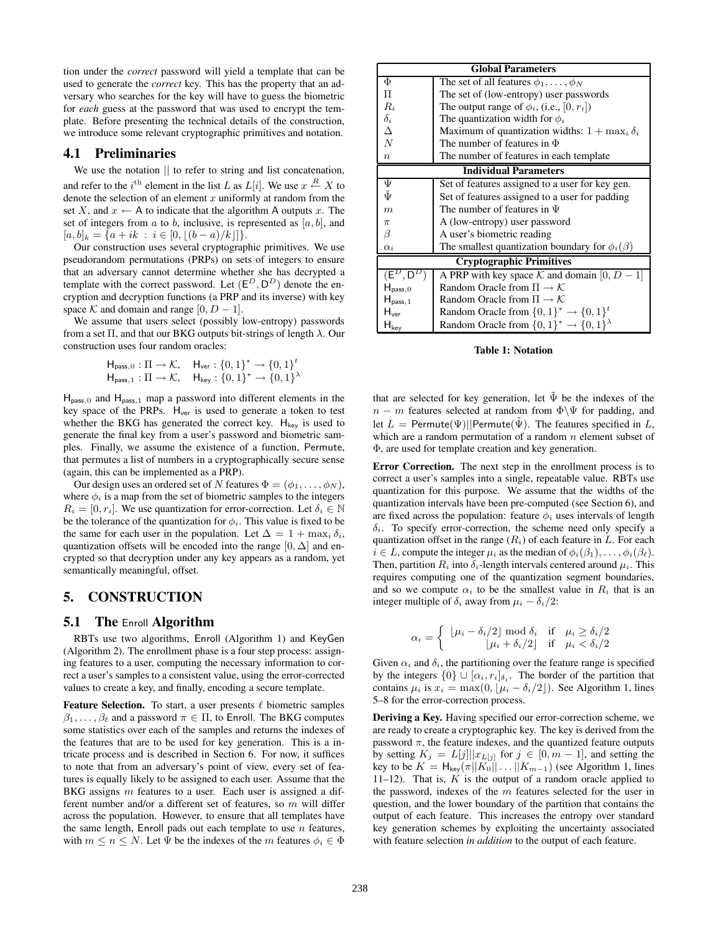tion under the *correct* password will yield a template that can be used to generate the *correct* key. This has the property that an adversary who searches for the key will have to guess the biometric for *each* guess at the password that was used to encrypt the template. Before presenting the technical details of the construction, we introduce some relevant cryptographic primitives and notation.

### **4.1 Preliminaries**

We use the notation  $\parallel$  to refer to string and list concatenation, and refer to the  $i^{\text{th}}$  element in the list L as  $L[i]$ . We use  $x \stackrel{R}{\leftarrow} X$  to denote the selection of an element  $x$  uniformly at random from the set X, and  $x \leftarrow A$  to indicate that the algorithm A outputs x. The set of integers from a to b, inclusive, is represented as  $[a, b]$ , and  $[a, b]_k = \{a + ik : i \in [0, |(b - a)/k|]\}.$ 

Our construction uses several cryptographic primitives. We use pseudorandom permutations (PRPs) on sets of integers to ensure that an adversary cannot determine whether she has decrypted a template with the correct password. Let  $(E^D, D^D)$  denote the encryption and decryption functions (a PRP and its inverse) with key space K and domain and range  $[0, D - 1]$ .

We assume that users select (possibly low-entropy) passwords from a set  $\Pi$ , and that our BKG outputs bit-strings of length  $\lambda$ . Our construction uses four random oracles:

$$
\begin{array}{ll} \mathsf{H}_{\text{pass},0}: \Pi \rightarrow \mathcal{K}, & \mathsf{H}_{\text{ver}}: \{0,1\}^* \rightarrow \{0,1\}^t \\ \mathsf{H}_{\text{pass},1}: \Pi \rightarrow \mathcal{K}, & \mathsf{H}_{\text{key}}: \{0,1\}^* \rightarrow \{0,1\}^{\lambda} \end{array}
$$

 $H<sub>pass,0</sub>$  and  $H<sub>pass,1</sub>$  map a password into different elements in the key space of the PRPs. H<sub>ver</sub> is used to generate a token to test whether the BKG has generated the correct key.  $H_{\text{key}}$  is used to generate the final key from a user's password and biometric samples. Finally, we assume the existence of a function, Permute, that permutes a list of numbers in a cryptographically secure sense (again, this can be implemented as a PRP).

Our design uses an ordered set of N features  $\Phi = (\phi_1, \ldots, \phi_N)$ , where  $\phi_i$  is a map from the set of biometric samples to the integers  $R_i = [0, r_i]$ . We use quantization for error-correction. Let  $\delta_i \in \mathbb{N}$ be the tolerance of the quantization for  $\phi_i$ . This value is fixed to be the same for each user in the population. Let  $\Delta = 1 + \max_i \delta_i$ , quantization offsets will be encoded into the range  $[0, \Delta]$  and encrypted so that decryption under any key appears as a random, yet semantically meaningful, offset.

# **5. CONSTRUCTION**

#### **5.1 The** Enroll **Algorithm**

RBTs use two algorithms, Enroll (Algorithm 1) and KeyGen (Algorithm 2). The enrollment phase is a four step process: assigning features to a user, computing the necessary information to correct a user's samples to a consistent value, using the error-corrected values to create a key, and finally, encoding a secure template.

**Feature Selection.** To start, a user presents  $\ell$  biometric samples  $\beta_1, \ldots, \beta_\ell$  and a password  $\pi \in \Pi$ , to Enroll. The BKG computes some statistics over each of the samples and returns the indexes of the features that are to be used for key generation. This is a intricate process and is described in Section 6. For now, it suffices to note that from an adversary's point of view, every set of features is equally likely to be assigned to each user. Assume that the BKG assigns m features to a user. Each user is assigned a different number and/or a different set of features, so m will differ across the population. However, to ensure that all templates have the same length, Enroll pads out each template to use  $n$  features, with  $m \le n \le N$ . Let  $\Psi$  be the indexes of the m features  $\phi_i \in \Phi$ 

| <b>Global Parameters</b>        |                                                              |  |  |  |  |  |
|---------------------------------|--------------------------------------------------------------|--|--|--|--|--|
| $\Phi$                          | The set of all features $\phi_1, \ldots, \phi_N$             |  |  |  |  |  |
| Π                               | The set of (low-entropy) user passwords                      |  |  |  |  |  |
| $R_i$                           | The output range of $\phi_i$ , (i.e., [0, $r_i$ ])           |  |  |  |  |  |
| $\delta_i$                      | The quantization width for $\phi_i$                          |  |  |  |  |  |
| Δ                               | Maximum of quantization widths: $1 + \max_i \delta_i$        |  |  |  |  |  |
| $\overline{N}$                  | The number of features in $\Phi$                             |  |  |  |  |  |
| $\boldsymbol{n}$                | The number of features in each template.                     |  |  |  |  |  |
| <b>Individual Parameters</b>    |                                                              |  |  |  |  |  |
| Ψ                               | Set of features assigned to a user for key gen.              |  |  |  |  |  |
| $\tilde{\Psi}$                  | Set of features assigned to a user for padding               |  |  |  |  |  |
| m                               | The number of features in $\Psi$                             |  |  |  |  |  |
| $\pi$                           | A (low-entropy) user password                                |  |  |  |  |  |
| β                               | A user's biometric reading                                   |  |  |  |  |  |
| $\alpha_i$                      | The smallest quantization boundary for $\phi_i(\beta)$       |  |  |  |  |  |
| <b>Cryptographic Primitives</b> |                                                              |  |  |  |  |  |
|                                 | A PRP with key space $K$ and domain $[0, D - 1]$             |  |  |  |  |  |
| ${\sf H}_{\sf pass,0}$          | Random Oracle from $\Pi \to \mathcal{K}$                     |  |  |  |  |  |
| $H_{\text{pass}, 1}$            | Random Oracle from $\Pi \to \mathcal{K}$                     |  |  |  |  |  |
| $\mathsf{H}_{\mathsf{ver}}$     | Random Oracle from $\{0,1\}^* \rightarrow \{0,1\}^t$         |  |  |  |  |  |
| $H_{key}$                       | Random Oracle from $\{0,1\}^* \rightarrow \{0,1\}^{\lambda}$ |  |  |  |  |  |

**Table 1: Notation**

that are selected for key generation, let  $\tilde{\Psi}$  be the indexes of the  $n - m$  features selected at random from  $\Phi \backslash \Psi$  for padding, and let  $L =$  Permute( $\Psi$ )||Permute( $\Psi$ ). The features specified in L, which are a random permutation of a random  $n$  element subset of Φ, are used for template creation and key generation.

**Error Correction.** The next step in the enrollment process is to correct a user's samples into a single, repeatable value. RBTs use quantization for this purpose. We assume that the widths of the quantization intervals have been pre-computed (see Section 6), and are fixed across the population: feature  $\phi_i$  uses intervals of length  $\delta_i$ . To specify error-correction, the scheme need only specify a quantization offset in the range  $(R<sub>i</sub>)$  of each feature in L. For each  $i \in L$ , compute the integer  $\mu_i$  as the median of  $\phi_i(\beta_1), \ldots, \phi_i(\beta_\ell)$ . Then, partition  $R_i$  into  $\delta_i$ -length intervals centered around  $\mu_i$ . This requires computing one of the quantization segment boundaries, and so we compute  $\alpha_i$  to be the smallest value in  $R_i$  that is an integer multiple of  $\delta_i$  away from  $\mu_i - \delta_i/2$ :

$$
\alpha_i = \begin{cases} \lfloor \mu_i - \delta_i/2 \rfloor \mod \delta_i & \text{if } \mu_i \ge \delta_i/2 \\ \lfloor \mu_i + \delta_i/2 \rfloor & \text{if } \mu_i < \delta_i/2 \end{cases}
$$

Given  $\alpha_i$  and  $\delta_i$ , the partitioning over the feature range is specified by the integers  $\{0\} \cup [\alpha_i, r_i]_{\delta_i}$ . The border of the partition that contains  $\mu_i$  is  $x_i = \max(0, |\mu_i - \delta_i/2|)$ . See Algorithm 1, lines 5–8 for the error-correction process.

**Deriving a Key.** Having specified our error-correction scheme, we are ready to create a cryptographic key. The key is derived from the password  $\pi$ , the feature indexes, and the quantized feature outputs by setting  $K_j = L[j] ||x_{L[j]}$  for  $j \in [0, m-1]$ , and setting the key to be  $K = H_{\text{key}}(\pi||K_0|| \dots ||K_{m-1})$  (see Algorithm 1, lines 11–12). That is,  $K$  is the output of a random oracle applied to the password, indexes of the  $m$  features selected for the user in question, and the lower boundary of the partition that contains the output of each feature. This increases the entropy over standard key generation schemes by exploiting the uncertainty associated with feature selection *in addition* to the output of each feature.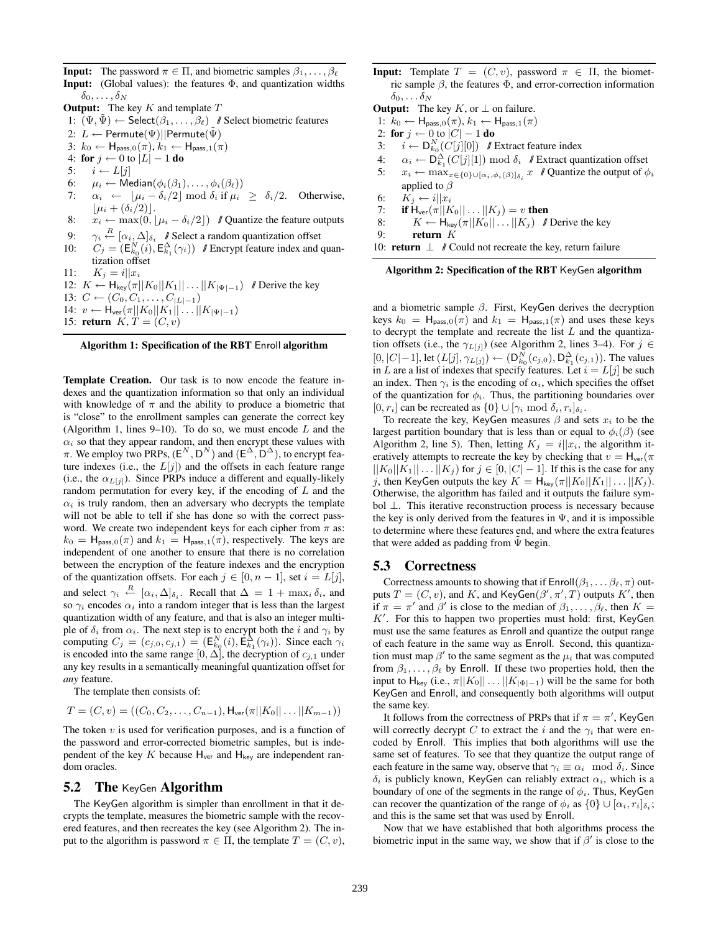**Input:** The password  $\pi \in \Pi$ , and biometric samples  $\beta_1, \ldots, \beta_\ell$ **Input:** (Global values): the features Φ, and quantization widths  $\delta_0,\ldots,\delta_N$ 

- **Output:** The key K and template T
- 1:  $(\Psi, \tilde{\Psi}) \leftarrow$  Select $(\beta_1, \dots, \beta_\ell)$  // Select biometric features
- 2:  $L \leftarrow$  Permute $(\Psi)$ ||Permute $(\tilde{\Psi})$
- 3:  $k_0 \leftarrow H_{\text{pass},0}(\pi), k_1 \leftarrow H_{\text{pass},1}(\pi)$
- 4: **for**  $j \leftarrow 0$  to  $|L| 1$  **do**
- 5:  $i \leftarrow L[j]$
- 6:  $\mu_i \leftarrow \mathsf{Median}(\phi_i(\beta_1), \dots, \phi_i(\beta_\ell))$
- 7:  $\alpha_i \leftarrow |\mu_i \delta_i/2| \text{ mod } \delta_i \text{ if } \mu_i \geq \delta_i/2.$  Otherwise,  $\left[\mu_i + (\delta_i/2)\right].$
- 8:  $x_i \leftarrow \max(0, |\mu_i \delta_i/2|)$  // Quantize the feature outputs
- 9:  $\gamma_i \stackrel{R}{\leftarrow} [\alpha_i, \Delta]_{\delta_i}$  // Select a random quantization offset
- 10:  $C_j = (E_{k_0}^N(i), E_{k_1}^{\Delta}(\gamma_i))$  // Encrypt feature index and quantization offset
- 11:  $K_j = i||x_i$

12:  $K \leftarrow H_{\text{key}}(\pi || K_0 || K_1 || \dots || K_{|\Psi| - 1})$  ∥ Derive the key 13:  $C \leftarrow (C_0, C_1, \ldots, C_{|L|-1})$ 

14:  $v$  ← H<sub>ver</sub>(π|| $K_0$ || $K_1$ ||...|| $K_{|\Psi|-1}$ )

15: **return**  $K, T = (C, v)$ 

#### **Algorithm 1: Specification of the RBT** Enroll **algorithm**

**Template Creation.** Our task is to now encode the feature indexes and the quantization information so that only an individual with knowledge of  $\pi$  and the ability to produce a biometric that is "close" to the enrollment samples can generate the correct key (Algorithm 1, lines  $9-10$ ). To do so, we must encode L and the  $\alpha_i$  so that they appear random, and then encrypt these values with  $\pi$ . We employ two PRPs,  $(E^N, D^N)$  and  $(E^{\Delta}, D^{\Delta})$ , to encrypt feature indexes (i.e., the  $L[j]$ ) and the offsets in each feature range (i.e., the  $\alpha_{L[j]}$ ). Since PRPs induce a different and equally-likely random permutation for every key, if the encoding of  $L$  and the  $\alpha_i$  is truly random, then an adversary who decrypts the template will not be able to tell if she has done so with the correct password. We create two independent keys for each cipher from  $\pi$  as:  $k_0 = H_{\text{pass},0}(\pi)$  and  $k_1 = H_{\text{pass},1}(\pi)$ , respectively. The keys are independent of one another to ensure that there is no correlation between the encryption of the feature indexes and the encryption of the quantization offsets. For each  $j \in [0, n-1]$ , set  $i = L[j]$ , and select  $\gamma_i \stackrel{R}{\leftarrow} [\alpha_i, \Delta]_{\delta_i}$ . Recall that  $\Delta = 1 + \max_i \delta_i$ , and so  $\gamma_i$  encodes  $\alpha_i$  into a random integer that is less than the largest quantization width of any feature, and that is also an integer multiple of  $\delta_i$  from  $\alpha_i$ . The next step is to encrypt both the i and  $\gamma_i$  by computing  $C_j = (c_{j,0}, c_{j,1}) = (E_{k_0}^N(i), \dot{E}_{k_1}^{\Delta}(\gamma_i))$ . Since each  $\gamma_i$ is encoded into the same range  $[0, \Delta]$ , the decryption of  $c_{j,1}$  under any key results in a semantically meaningful quantization offset for *any* feature.

The template then consists of:

$$
T = (C, v) = ((C_0, C_2, \ldots, C_{n-1}), \mathsf{H}_{\mathsf{ver}}(\pi || K_0 || \ldots || K_{m-1}))
$$

The token  $v$  is used for verification purposes, and is a function of the password and error-corrected biometric samples, but is independent of the key K because  $H_{\text{ver}}$  and  $H_{\text{key}}$  are independent random oracles.

#### **5.2 The** KeyGen **Algorithm**

The KeyGen algorithm is simpler than enrollment in that it decrypts the template, measures the biometric sample with the recovered features, and then recreates the key (see Algorithm 2). The input to the algorithm is password  $\pi \in \Pi$ , the template  $T = (C, v)$ ,

- **Input:** Template  $T = (C, v)$ , password  $\pi \in \Pi$ , the biometric sample β, the features Φ, and error-correction information  $\delta_0,\ldots,\delta_N$
- **Output:** The key  $K$ , or  $\perp$  on failure.
- 1:  $k_0 \leftarrow H_{\text{pass},0}(\pi), k_1 \leftarrow H_{\text{pass},1}(\pi)$
- 2: **for**  $j \leftarrow 0$  to  $|C| 1$  **do**
- 3:  $i \leftarrow D_{k_0}^N(C[j][0])$  // Extract feature index
- 4:  $\alpha_i \leftarrow \overrightarrow{D}_{k_1}^{\Delta}(C[j][1]) \text{ mod } \delta_i$  // Extract quantization offset
- 4:  $\alpha_i \leftarrow D_{k_1}^{\Delta}(C[j][1]) \mod \delta_i$  // Extract quantization offset<br>5:  $x_i \leftarrow \max_{x \in \{0\} \cup [\alpha_i, \phi_i(\beta)]_{\delta_i}} x$  // Quantize the output of  $\phi_i$ applied to  $\beta$
- 6:  $K_i \leftarrow i||x_i$
- 7: **if**  $H_{\text{ver}}(\pi||K_0||...||K_i) = v$  then
- 8:  $K \leftarrow H_{\text{key}}(\pi || K_0 || \dots || K_j)$  // Derive the key
- 9: **return** K
- 10: **return** ⊥ // Could not recreate the key, return failure

#### **Algorithm 2: Specification of the RBT** KeyGen **algorithm**

and a biometric sample  $\beta$ . First, KeyGen derives the decryption keys  $k_0 = H_{\text{pass},0}(\pi)$  and  $k_1 = H_{\text{pass},1}(\pi)$  and uses these keys to decrypt the template and recreate the list  $L$  and the quantization offsets (i.e., the  $\gamma_{L[j]}$ ) (see Algorithm 2, lines 3–4). For  $j \in$ [0, |C|−1], let  $(L[j], \gamma_{L[j]}) \leftarrow (D_{k_0}^N(c_{j,0}), D_{k_1}^{\Delta}(c_{j,1}))$ . The values in L are a list of indexes that specify features. Let  $i = L[j]$  be such an index. Then  $\gamma_i$  is the encoding of  $\alpha_i$ , which specifies the offset of the quantization for  $\phi_i$ . Thus, the partitioning boundaries over [0,  $r_i$ ] can be recreated as  $\{0\} \cup [\gamma_i \mod \delta_i, r_i]_{\delta_i}$ .

To recreate the key, KeyGen measures  $\beta$  and sets  $x_i$  to be the largest partition boundary that is less than or equal to  $\phi_i(\beta)$  (see Algorithm 2, line 5). Then, letting  $K_i = i||x_i$ , the algorithm iteratively attempts to recreate the key by checking that  $v = H_{ver}(\pi)$  $||K_0||K_1|| \dots ||K_j$  for  $j \in [0, |C| - 1]$ . If this is the case for any j, then KeyGen outputs the key  $K = H_{\text{key}}(\pi||K_0||K_1|| \dots ||K_i)$ . Otherwise, the algorithm has failed and it outputs the failure symbol ⊥. This iterative reconstruction process is necessary because the key is only derived from the features in  $\Psi$ , and it is impossible to determine where these features end, and where the extra features that were added as padding from  $\Psi$  begin.

#### **5.3 Correctness**

Correctness amounts to showing that if  $\mathsf{Enroll}(\beta_1, \ldots \beta_\ell, \pi)$  outputs  $T = (C, v)$ , and  $K$ , and  $\mathsf{KeyGen}(\beta', \pi', T)$  outputs  $K'$ , then if  $\pi = \pi'$  and  $\beta'$  is close to the median of  $\beta_1, \ldots, \beta_\ell$ , then  $K =$  $K'$ . For this to happen two properties must hold: first, KeyGen must use the same features as Enroll and quantize the output range of each feature in the same way as Enroll. Second, this quantization must map  $\beta'$  to the same segment as the  $\mu_i$  that was computed from  $\beta_1, \ldots, \beta_\ell$  by Enroll. If these two properties hold, then the input to H<sub>key</sub> (i.e.,  $\pi||K_0|| \dots ||K_{|\Phi|-1}$ ) will be the same for both KeyGen and Enroll, and consequently both algorithms will output the same key.

It follows from the correctness of PRPs that if  $\pi = \pi'$ , KeyGen will correctly decrypt C to extract the i and the  $\gamma_i$  that were encoded by Enroll. This implies that both algorithms will use the same set of features. To see that they quantize the output range of each feature in the same way, observe that  $\gamma_i \equiv \alpha_i \mod \delta_i$ . Since  $\delta_i$  is publicly known, KeyGen can reliably extract  $\alpha_i$ , which is a boundary of one of the segments in the range of  $\phi_i$ . Thus, KeyGen can recover the quantization of the range of  $\phi_i$  as  $\{0\} \cup [\alpha_i, r_i]_{\delta_i}$ ; and this is the same set that was used by Enroll.

Now that we have established that both algorithms process the biometric input in the same way, we show that if  $\beta'$  is close to the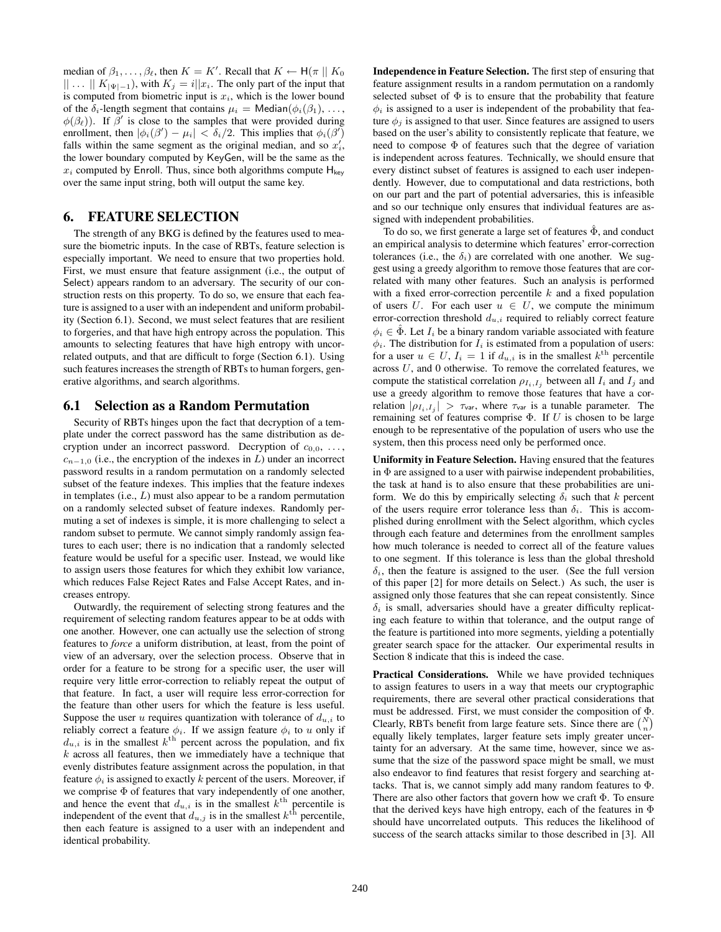median of  $\beta_1, \ldots, \beta_\ell$ , then  $K = K'$ . Recall that  $K \leftarrow H(\pi || K_0)$  $|| \dots || K_{|\Psi|-1}$ , with  $K_j = i||x_i$ . The only part of the input that is computed from biometric input is  $x_i$ , which is the lower bound of the  $\delta_i$ -length segment that contains  $\mu_i = \text{Median}(\phi_i(\beta_1), \ldots, \phi_n(\beta_n))$  $\phi(\beta_\ell)$ ). If  $\beta'$  is close to the samples that were provided during enrollment, then  $|\phi_i(\beta') - \mu_i| < \delta_i/2$ . This implies that  $\phi_i(\beta')$ falls within the same segment as the original median, and so  $x'_i$ , the lower boundary computed by KeyGen, will be the same as the  $x_i$  computed by Enroll. Thus, since both algorithms compute  $H_{\text{key}}$ over the same input string, both will output the same key.

# **6. FEATURE SELECTION**

The strength of any BKG is defined by the features used to measure the biometric inputs. In the case of RBTs, feature selection is especially important. We need to ensure that two properties hold. First, we must ensure that feature assignment (i.e., the output of Select) appears random to an adversary. The security of our construction rests on this property. To do so, we ensure that each feature is assigned to a user with an independent and uniform probability (Section 6.1). Second, we must select features that are resilient to forgeries, and that have high entropy across the population. This amounts to selecting features that have high entropy with uncorrelated outputs, and that are difficult to forge (Section 6.1). Using such features increases the strength of RBTs to human forgers, generative algorithms, and search algorithms.

### **6.1 Selection as a Random Permutation**

Security of RBTs hinges upon the fact that decryption of a template under the correct password has the same distribution as decryption under an incorrect password. Decryption of  $c_{0,0}, \ldots$ ,  $c_{n-1,0}$  (i.e., the encryption of the indexes in L) under an incorrect password results in a random permutation on a randomly selected subset of the feature indexes. This implies that the feature indexes in templates  $(i.e., L)$  must also appear to be a random permutation on a randomly selected subset of feature indexes. Randomly permuting a set of indexes is simple, it is more challenging to select a random subset to permute. We cannot simply randomly assign features to each user; there is no indication that a randomly selected feature would be useful for a specific user. Instead, we would like to assign users those features for which they exhibit low variance, which reduces False Reject Rates and False Accept Rates, and increases entropy.

Outwardly, the requirement of selecting strong features and the requirement of selecting random features appear to be at odds with one another. However, one can actually use the selection of strong features to *force* a uniform distribution, at least, from the point of view of an adversary, over the selection process. Observe that in order for a feature to be strong for a specific user, the user will require very little error-correction to reliably repeat the output of that feature. In fact, a user will require less error-correction for the feature than other users for which the feature is less useful. Suppose the user u requires quantization with tolerance of  $d_{u,i}$  to reliably correct a feature  $\phi_i$ . If we assign feature  $\phi_i$  to u only if  $d_{u,i}$  is in the smallest  $k^{\text{th}}$  percent across the population, and fix  $k$  across all features, then we immediately have a technique that evenly distributes feature assignment across the population, in that feature  $\phi_i$  is assigned to exactly k percent of the users. Moreover, if we comprise  $\Phi$  of features that vary independently of one another, and hence the event that  $d_{u,i}$  is in the smallest  $k^{\text{th}}$  percentile is independent of the event that  $d_{u,j}$  is in the smallest  $k^{\text{th}}$  percentile, then each feature is assigned to a user with an independent and identical probability.

**Independence in Feature Selection.** The first step of ensuring that feature assignment results in a random permutation on a randomly selected subset of  $\Phi$  is to ensure that the probability that feature  $\phi_i$  is assigned to a user is independent of the probability that feature  $\phi_i$  is assigned to that user. Since features are assigned to users based on the user's ability to consistently replicate that feature, we need to compose  $\Phi$  of features such that the degree of variation is independent across features. Technically, we should ensure that every distinct subset of features is assigned to each user independently. However, due to computational and data restrictions, both on our part and the part of potential adversaries, this is infeasible and so our technique only ensures that individual features are assigned with independent probabilities.

To do so, we first generate a large set of features  $\hat{\Phi}$ , and conduct an empirical analysis to determine which features' error-correction tolerances (i.e., the  $\delta_i$ ) are correlated with one another. We suggest using a greedy algorithm to remove those features that are correlated with many other features. Such an analysis is performed with a fixed error-correction percentile  $k$  and a fixed population of users U. For each user  $u \in U$ , we compute the minimum error-correction threshold  $d_{u,i}$  required to reliably correct feature  $\phi_i \in \hat{\Phi}$ . Let  $I_i$  be a binary random variable associated with feature  $\phi_i$ . The distribution for  $I_i$  is estimated from a population of users: for a user  $u \in U$ ,  $I_i = 1$  if  $d_{u,i}$  is in the smallest  $k^{\text{th}}$  percentile across  $U$ , and  $0$  otherwise. To remove the correlated features, we compute the statistical correlation  $\rho_{I_i,I_j}$  between all  $I_i$  and  $I_j$  and use a greedy algorithm to remove those features that have a correlation  $|\rho_{I_i,I_j}| > \tau_{var}$ , where  $\tau_{var}$  is a tunable parameter. The remaining set of features comprise  $\Phi$ . If U is chosen to be large enough to be representative of the population of users who use the system, then this process need only be performed once.

**Uniformity in Feature Selection.** Having ensured that the features in  $\Phi$  are assigned to a user with pairwise independent probabilities, the task at hand is to also ensure that these probabilities are uniform. We do this by empirically selecting  $\delta_i$  such that k percent of the users require error tolerance less than  $\delta_i$ . This is accomplished during enrollment with the Select algorithm, which cycles through each feature and determines from the enrollment samples how much tolerance is needed to correct all of the feature values to one segment. If this tolerance is less than the global threshold  $\delta_i$ , then the feature is assigned to the user. (See the full version of this paper [2] for more details on Select.) As such, the user is assigned only those features that she can repeat consistently. Since  $\delta_i$  is small, adversaries should have a greater difficulty replicating each feature to within that tolerance, and the output range of the feature is partitioned into more segments, yielding a potentially greater search space for the attacker. Our experimental results in Section 8 indicate that this is indeed the case.

**Practical Considerations.** While we have provided techniques to assign features to users in a way that meets our cryptographic requirements, there are several other practical considerations that must be addressed. First, we must consider the composition of Φ. Clearly, RBTs benefit from large feature sets. Since there are  $\binom{N}{n}$ equally likely templates, larger feature sets imply greater uncertainty for an adversary. At the same time, however, since we assume that the size of the password space might be small, we must also endeavor to find features that resist forgery and searching attacks. That is, we cannot simply add many random features to Φ. There are also other factors that govern how we craft Φ. To ensure that the derived keys have high entropy, each of the features in Φ should have uncorrelated outputs. This reduces the likelihood of success of the search attacks similar to those described in [3]. All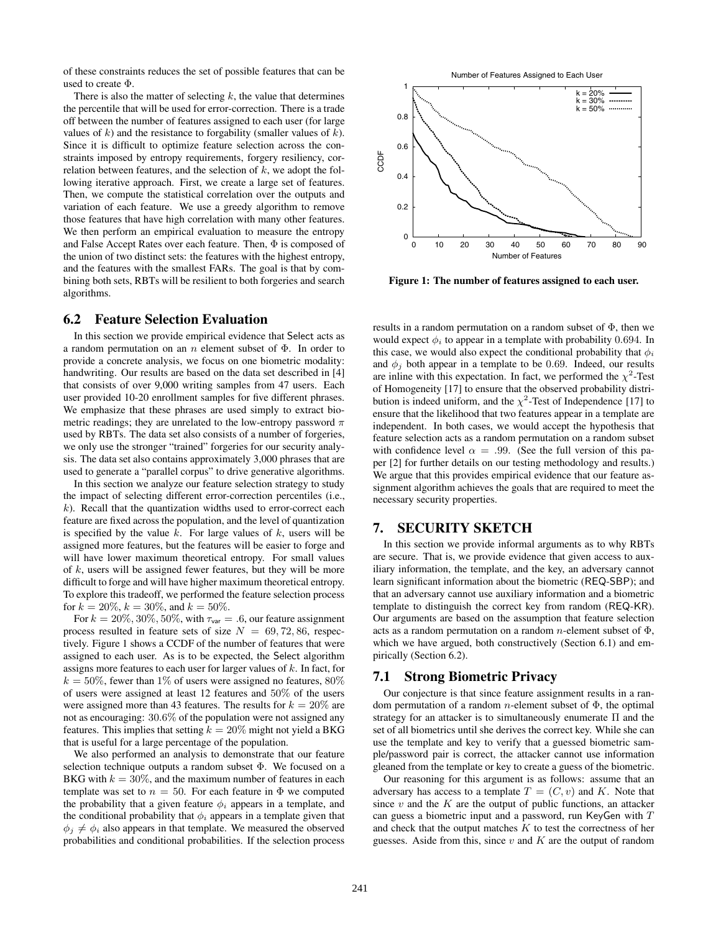of these constraints reduces the set of possible features that can be used to create Φ.

There is also the matter of selecting  $k$ , the value that determines the percentile that will be used for error-correction. There is a trade off between the number of features assigned to each user (for large values of  $k$ ) and the resistance to forgability (smaller values of  $k$ ). Since it is difficult to optimize feature selection across the constraints imposed by entropy requirements, forgery resiliency, correlation between features, and the selection of  $k$ , we adopt the following iterative approach. First, we create a large set of features. Then, we compute the statistical correlation over the outputs and variation of each feature. We use a greedy algorithm to remove those features that have high correlation with many other features. We then perform an empirical evaluation to measure the entropy and False Accept Rates over each feature. Then, Φ is composed of the union of two distinct sets: the features with the highest entropy, and the features with the smallest FARs. The goal is that by combining both sets, RBTs will be resilient to both forgeries and search algorithms.

### **6.2 Feature Selection Evaluation**

In this section we provide empirical evidence that Select acts as a random permutation on an  $n$  element subset of  $\Phi$ . In order to provide a concrete analysis, we focus on one biometric modality: handwriting. Our results are based on the data set described in [4] that consists of over 9,000 writing samples from 47 users. Each user provided 10-20 enrollment samples for five different phrases. We emphasize that these phrases are used simply to extract biometric readings; they are unrelated to the low-entropy password  $\pi$ used by RBTs. The data set also consists of a number of forgeries, we only use the stronger "trained" forgeries for our security analysis. The data set also contains approximately 3,000 phrases that are used to generate a "parallel corpus" to drive generative algorithms.

In this section we analyze our feature selection strategy to study the impact of selecting different error-correction percentiles (i.e.,  $k$ ). Recall that the quantization widths used to error-correct each feature are fixed across the population, and the level of quantization is specified by the value  $k$ . For large values of  $k$ , users will be assigned more features, but the features will be easier to forge and will have lower maximum theoretical entropy. For small values of  $k$ , users will be assigned fewer features, but they will be more difficult to forge and will have higher maximum theoretical entropy. To explore this tradeoff, we performed the feature selection process for  $k = 20\%$ ,  $k = 30\%$ , and  $k = 50\%$ .

For  $k = 20\%, 30\%, 50\%,$  with  $\tau_{\text{var}} = .6$ , our feature assignment process resulted in feature sets of size  $N = 69, 72, 86$ , respectively. Figure 1 shows a CCDF of the number of features that were assigned to each user. As is to be expected, the Select algorithm assigns more features to each user for larger values of k. In fact, for  $k = 50\%$ , fewer than 1% of users were assigned no features, 80% of users were assigned at least 12 features and 50% of the users were assigned more than 43 features. The results for  $k = 20\%$  are not as encouraging: 30.6% of the population were not assigned any features. This implies that setting  $k = 20\%$  might not yield a BKG that is useful for a large percentage of the population.

We also performed an analysis to demonstrate that our feature selection technique outputs a random subset Φ. We focused on a BKG with  $k = 30\%$ , and the maximum number of features in each template was set to  $n = 50$ . For each feature in  $\Phi$  we computed the probability that a given feature  $\phi_i$  appears in a template, and the conditional probability that  $\phi_i$  appears in a template given that  $\phi_j \neq \phi_i$  also appears in that template. We measured the observed probabilities and conditional probabilities. If the selection process



**Figure 1: The number of features assigned to each user.**

results in a random permutation on a random subset of Φ, then we would expect  $\phi_i$  to appear in a template with probability 0.694. In this case, we would also expect the conditional probability that  $\phi_i$ and  $\phi_j$  both appear in a template to be 0.69. Indeed, our results are inline with this expectation. In fact, we performed the  $\chi^2$ -Test of Homogeneity [17] to ensure that the observed probability distribution is indeed uniform, and the  $\chi^2$ -Test of Independence [17] to ensure that the likelihood that two features appear in a template are independent. In both cases, we would accept the hypothesis that feature selection acts as a random permutation on a random subset with confidence level  $\alpha = .99$ . (See the full version of this paper [2] for further details on our testing methodology and results.) We argue that this provides empirical evidence that our feature assignment algorithm achieves the goals that are required to meet the necessary security properties.

# **7. SECURITY SKETCH**

In this section we provide informal arguments as to why RBTs are secure. That is, we provide evidence that given access to auxiliary information, the template, and the key, an adversary cannot learn significant information about the biometric (REQ-SBP); and that an adversary cannot use auxiliary information and a biometric template to distinguish the correct key from random (REQ-KR). Our arguments are based on the assumption that feature selection acts as a random permutation on a random *n*-element subset of  $\Phi$ , which we have argued, both constructively (Section 6.1) and empirically (Section 6.2).

#### **7.1 Strong Biometric Privacy**

Our conjecture is that since feature assignment results in a random permutation of a random *n*-element subset of  $\Phi$ , the optimal strategy for an attacker is to simultaneously enumerate Π and the set of all biometrics until she derives the correct key. While she can use the template and key to verify that a guessed biometric sample/password pair is correct, the attacker cannot use information gleaned from the template or key to create a guess of the biometric.

Our reasoning for this argument is as follows: assume that an adversary has access to a template  $T = (C, v)$  and K. Note that since  $v$  and the  $K$  are the output of public functions, an attacker can guess a biometric input and a password, run KeyGen with T and check that the output matches  $K$  to test the correctness of her guesses. Aside from this, since  $v$  and  $K$  are the output of random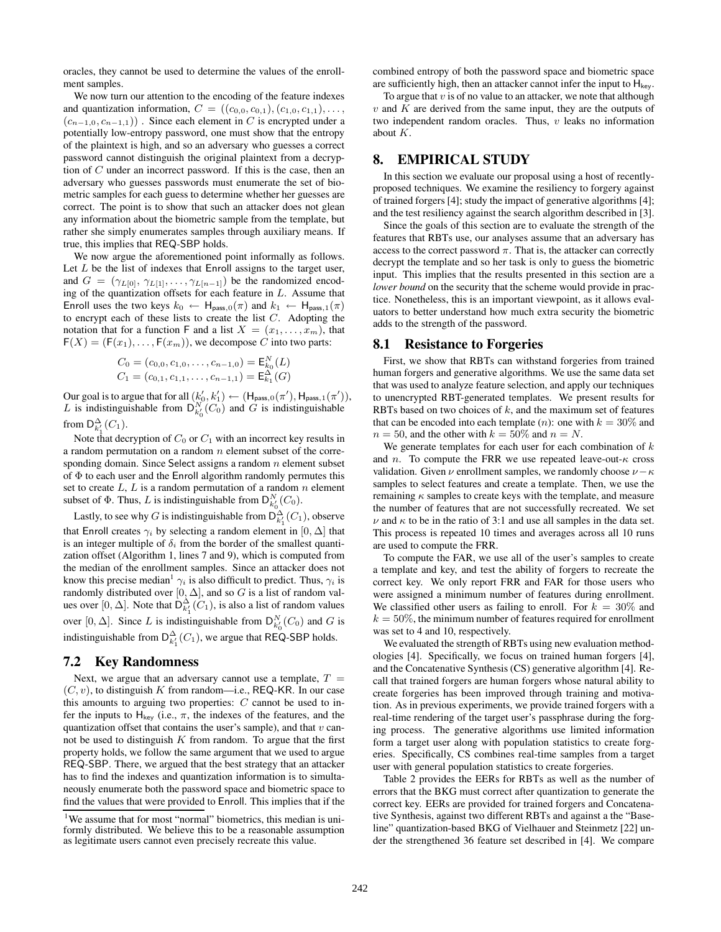oracles, they cannot be used to determine the values of the enrollment samples.

We now turn our attention to the encoding of the feature indexes and quantization information,  $C = ((c_{0,0}, c_{0,1}), (c_{1,0}, c_{1,1}), \ldots,$  $(c_{n-1,0}, c_{n-1,1})$ . Since each element in C is encrypted under a potentially low-entropy password, one must show that the entropy of the plaintext is high, and so an adversary who guesses a correct password cannot distinguish the original plaintext from a decryption of C under an incorrect password. If this is the case, then an adversary who guesses passwords must enumerate the set of biometric samples for each guess to determine whether her guesses are correct. The point is to show that such an attacker does not glean any information about the biometric sample from the template, but rather she simply enumerates samples through auxiliary means. If true, this implies that REQ-SBP holds.

We now argue the aforementioned point informally as follows. Let  $L$  be the list of indexes that Enroll assigns to the target user, and  $G = (\gamma_{L[0]}, \gamma_{L[1]}, \ldots, \gamma_{L[n-1]})$  be the randomized encoding of the quantization offsets for each feature in L. Assume that Enroll uses the two keys  $k_0 \leftarrow H_{\text{pass},0}(\pi)$  and  $k_1 \leftarrow H_{\text{pass},1}(\pi)$ to encrypt each of these lists to create the list  $C$ . Adopting the notation that for a function F and a list  $X = (x_1, \ldots, x_m)$ , that  $F(X)=(F(x_1),\ldots,F(x_m))$ , we decompose C into two parts:

$$
C_0 = (c_{0,0}, c_{1,0}, \dots, c_{n-1,0}) = \mathsf{E}_{k_0}^N(L)
$$
  

$$
C_1 = (c_{0,1}, c_{1,1}, \dots, c_{n-1,1}) = \mathsf{E}_{k_1}^N(G)
$$

Our goal is to argue that for all  $(k'_0, k'_1) \leftarrow (\mathsf{H}_{\text{pass},0}(\pi'), \mathsf{H}_{\text{pass},1}(\pi')),$ L is indistinguishable from  $D_{k'_0}(C_0)$  and G is indistinguishable from  $\mathsf{D}^{\Delta}_{k'_1}(C_1)$ .

Note that decryption of  $C_0$  or  $C_1$  with an incorrect key results in a random permutation on a random  $n$  element subset of the corresponding domain. Since Select assigns a random  $n$  element subset of  $\Phi$  to each user and the Enroll algorithm randomly permutes this set to create  $L, L$  is a random permutation of a random n element subset of  $\Phi$ . Thus, L is indistinguishable from  $D_{k'_0}^N(C_0)$ .

Lastly, to see why G is indistinguishable from  $\overline{\mathsf{D}}_{k_1}^{\Delta}(C_1)$ , observe that Enroll creates  $\gamma_i$  by selecting a random element in [0,  $\Delta$ ] that is an integer multiple of  $\delta_i$  from the border of the smallest quantization offset (Algorithm 1, lines 7 and 9), which is computed from the median of the enrollment samples. Since an attacker does not know this precise median<sup>1</sup>  $\gamma_i$  is also difficult to predict. Thus,  $\gamma_i$  is randomly distributed over  $[0, \Delta]$ , and so G is a list of random values over [0,  $\Delta$ ]. Note that  $\overrightarrow{D}^{\Delta}_{k'_1}(C_1)$ , is also a list of random values over [0,  $\Delta$ ]. Since L is indistinguishable from  $D_{k'_0}(C_0)$  and G is indistinguishable from  $D_{k'_1}^{\Delta}(C_1)$ , we argue that REQ-SBP holds.

### **7.2 Key Randomness**

Next, we argue that an adversary cannot use a template,  $T =$  $(C, v)$ , to distinguish K from random—i.e., REQ-KR. In our case this amounts to arguing two properties:  $C$  cannot be used to infer the inputs to  $H_{key}$  (i.e.,  $\pi$ , the indexes of the features, and the quantization offset that contains the user's sample), and that  $v$  cannot be used to distinguish  $K$  from random. To argue that the first property holds, we follow the same argument that we used to argue REQ-SBP. There, we argued that the best strategy that an attacker has to find the indexes and quantization information is to simultaneously enumerate both the password space and biometric space to find the values that were provided to Enroll. This implies that if the

combined entropy of both the password space and biometric space are sufficiently high, then an attacker cannot infer the input to  $H_{\text{key}}$ .

To argue that  $v$  is of no value to an attacker, we note that although  $v$  and  $K$  are derived from the same input, they are the outputs of two independent random oracles. Thus,  $v$  leaks no information about K.

### **8. EMPIRICAL STUDY**

In this section we evaluate our proposal using a host of recentlyproposed techniques. We examine the resiliency to forgery against of trained forgers [4]; study the impact of generative algorithms [4]; and the test resiliency against the search algorithm described in [3].

Since the goals of this section are to evaluate the strength of the features that RBTs use, our analyses assume that an adversary has access to the correct password  $\pi$ . That is, the attacker can correctly decrypt the template and so her task is only to guess the biometric input. This implies that the results presented in this section are a *lower bound* on the security that the scheme would provide in practice. Nonetheless, this is an important viewpoint, as it allows evaluators to better understand how much extra security the biometric adds to the strength of the password.

#### **8.1 Resistance to Forgeries**

First, we show that RBTs can withstand forgeries from trained human forgers and generative algorithms. We use the same data set that was used to analyze feature selection, and apply our techniques to unencrypted RBT-generated templates. We present results for RBTs based on two choices of  $k$ , and the maximum set of features that can be encoded into each template (*n*): one with  $k = 30\%$  and  $n = 50$ , and the other with  $k = 50\%$  and  $n = N$ .

We generate templates for each user for each combination of  $k$ and n. To compute the FRR we use repeated leave-out- $\kappa$  cross validation. Given  $\nu$  enrollment samples, we randomly choose  $\nu-\kappa$ samples to select features and create a template. Then, we use the remaining  $\kappa$  samples to create keys with the template, and measure the number of features that are not successfully recreated. We set  $\nu$  and  $\kappa$  to be in the ratio of 3:1 and use all samples in the data set. This process is repeated 10 times and averages across all 10 runs are used to compute the FRR.

To compute the FAR, we use all of the user's samples to create a template and key, and test the ability of forgers to recreate the correct key. We only report FRR and FAR for those users who were assigned a minimum number of features during enrollment. We classified other users as failing to enroll. For  $k = 30\%$  and  $k = 50\%$ , the minimum number of features required for enrollment was set to 4 and 10, respectively.

We evaluated the strength of RBTs using new evaluation methodologies [4]. Specifically, we focus on trained human forgers [4], and the Concatenative Synthesis (CS) generative algorithm [4]. Recall that trained forgers are human forgers whose natural ability to create forgeries has been improved through training and motivation. As in previous experiments, we provide trained forgers with a real-time rendering of the target user's passphrase during the forging process. The generative algorithms use limited information form a target user along with population statistics to create forgeries. Specifically, CS combines real-time samples from a target user with general population statistics to create forgeries.

Table 2 provides the EERs for RBTs as well as the number of errors that the BKG must correct after quantization to generate the correct key. EERs are provided for trained forgers and Concatenative Synthesis, against two different RBTs and against a the "Baseline" quantization-based BKG of Vielhauer and Steinmetz [22] under the strengthened 36 feature set described in [4]. We compare

<sup>&</sup>lt;sup>1</sup>We assume that for most "normal" biometrics, this median is uniformly distributed. We believe this to be a reasonable assumption as legitimate users cannot even precisely recreate this value.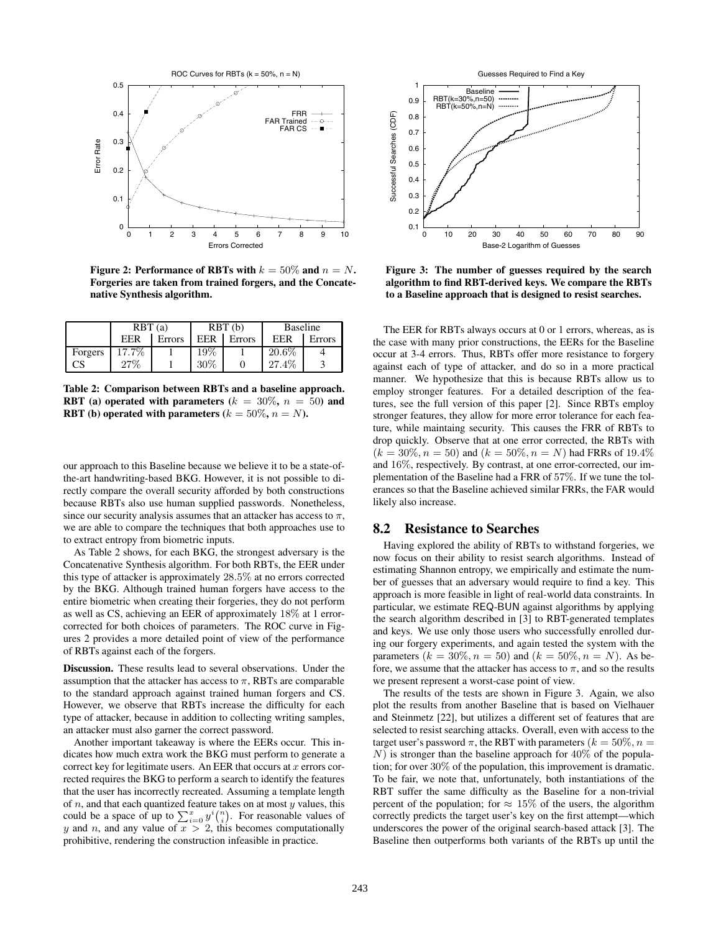

**Figure 2: Performance of RBTs with**  $k = 50\%$  and  $n = N$ . **Forgeries are taken from trained forgers, and the Concatenative Synthesis algorithm.**

|         | RBT(a) |        | RBT(b)     |        | <b>Baseline</b> |        |
|---------|--------|--------|------------|--------|-----------------|--------|
|         | EER    | Errors | <b>EER</b> | Errors | EER             | Errors |
| Forgers | 17.7%  |        | 19%        |        | 20.6%           |        |
| CS      | 27%    |        | $30\%$     |        | 27.4%           |        |

**Table 2: Comparison between RBTs and a baseline approach. RBT** (a) operated with parameters  $(k = 30\%, n = 50)$  and **RBT** (b) operated with parameters  $(k = 50\%, n = N)$ .

our approach to this Baseline because we believe it to be a state-ofthe-art handwriting-based BKG. However, it is not possible to directly compare the overall security afforded by both constructions because RBTs also use human supplied passwords. Nonetheless, since our security analysis assumes that an attacker has access to  $\pi$ , we are able to compare the techniques that both approaches use to to extract entropy from biometric inputs.

As Table 2 shows, for each BKG, the strongest adversary is the Concatenative Synthesis algorithm. For both RBTs, the EER under this type of attacker is approximately 28.5% at no errors corrected by the BKG. Although trained human forgers have access to the entire biometric when creating their forgeries, they do not perform as well as CS, achieving an EER of approximately 18% at 1 errorcorrected for both choices of parameters. The ROC curve in Figures 2 provides a more detailed point of view of the performance of RBTs against each of the forgers.

**Discussion.** These results lead to several observations. Under the assumption that the attacker has access to  $\pi$ , RBTs are comparable to the standard approach against trained human forgers and CS. However, we observe that RBTs increase the difficulty for each type of attacker, because in addition to collecting writing samples, an attacker must also garner the correct password.

Another important takeaway is where the EERs occur. This indicates how much extra work the BKG must perform to generate a correct key for legitimate users. An EER that occurs at  $x$  errors corrected requires the BKG to perform a search to identify the features that the user has incorrectly recreated. Assuming a template length of  $n$ , and that each quantized feature takes on at most  $y$  values, this could be a space of up to  $\sum_{i=0}^{x} y^{i} \binom{n}{i}$ . For reasonable values of y and n, and any value of  $\overline{x} > 2$ , this becomes computationally prohibitive, rendering the construction infeasible in practice.



**Figure 3: The number of guesses required by the search algorithm to find RBT-derived keys. We compare the RBTs to a Baseline approach that is designed to resist searches.**

The EER for RBTs always occurs at 0 or 1 errors, whereas, as is the case with many prior constructions, the EERs for the Baseline occur at 3-4 errors. Thus, RBTs offer more resistance to forgery against each of type of attacker, and do so in a more practical manner. We hypothesize that this is because RBTs allow us to employ stronger features. For a detailed description of the features, see the full version of this paper [2]. Since RBTs employ stronger features, they allow for more error tolerance for each feature, while maintaing security. This causes the FRR of RBTs to drop quickly. Observe that at one error corrected, the RBTs with  $(k = 30\%, n = 50)$  and  $(k = 50\%, n = N)$  had FRRs of 19.4% and 16%, respectively. By contrast, at one error-corrected, our implementation of the Baseline had a FRR of 57%. If we tune the tolerances so that the Baseline achieved similar FRRs, the FAR would likely also increase.

# **8.2 Resistance to Searches**

Having explored the ability of RBTs to withstand forgeries, we now focus on their ability to resist search algorithms. Instead of estimating Shannon entropy, we empirically and estimate the number of guesses that an adversary would require to find a key. This approach is more feasible in light of real-world data constraints. In particular, we estimate REQ-BUN against algorithms by applying the search algorithm described in [3] to RBT-generated templates and keys. We use only those users who successfully enrolled during our forgery experiments, and again tested the system with the parameters  $(k = 30\%, n = 50)$  and  $(k = 50\%, n = N)$ . As before, we assume that the attacker has access to  $\pi$ , and so the results we present represent a worst-case point of view.

The results of the tests are shown in Figure 3. Again, we also plot the results from another Baseline that is based on Vielhauer and Steinmetz [22], but utilizes a different set of features that are selected to resist searching attacks. Overall, even with access to the target user's password  $\pi$ , the RBT with parameters ( $k = 50\%, n =$  $N$ ) is stronger than the baseline approach for  $40\%$  of the population; for over 30% of the population, this improvement is dramatic. To be fair, we note that, unfortunately, both instantiations of the RBT suffer the same difficulty as the Baseline for a non-trivial percent of the population; for  $\approx 15\%$  of the users, the algorithm correctly predicts the target user's key on the first attempt—which underscores the power of the original search-based attack [3]. The Baseline then outperforms both variants of the RBTs up until the